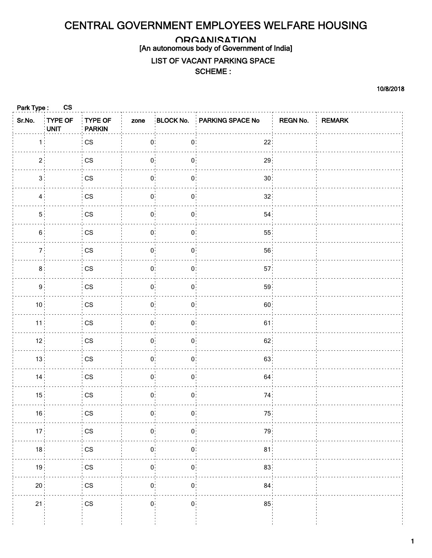## CENTRAL GOVERNMENT EMPLOYEES WELFARE HOUSING

## **ORGANISATION**

[An autonomous body of Government of India]

## LIST OF VACANT PARKING SPACE

## SCHEME :

10/8/2018

| Park Type:      | <b>CS</b>       |                            |                      |                   |                            |                 |  |
|-----------------|-----------------|----------------------------|----------------------|-------------------|----------------------------|-----------------|--|
| Sr.No.          | TYPE OF<br>UNIT | TYPE OF<br><b>PARKIN</b>   | zone                 |                   | BLOCK No. PARKING SPACE No | REGN No. REMARK |  |
| 1:              |                 | $\mathbb{C}\mathbb{S}$     | $0:$                 | $\mathbf{0}$ :    | 22:                        |                 |  |
| 2 <sup>1</sup>  |                 | $\mathsf{CS}\xspace$       | $\mathbf{0}$         | $\mathbf{0}$      | 29                         |                 |  |
| 3 <sup>1</sup>  |                 | $\mathsf{CS}\xspace$       | 0 <sup>1</sup>       | $\mathbf{0}$ :    | 30 <sup>1</sup>            |                 |  |
| $4$ :           |                 | $\mathbb{C}\mathbb{S}$     | $\mathbf{0}$         | $\mathbf{0}$      | 32 <sup>3</sup>            |                 |  |
| 5 <sup>1</sup>  |                 | $\mathbb{C}\mathbb{S}$     | $\mathbf{0}$         | $\mathbf{0}$      | 54 <sub>1</sub>            |                 |  |
| $6$ :           |                 | $\mathsf{CS}\xspace$       | $\mathbf{0}$         | $\mathbf{0}$ :    | 55 <sup>1</sup>            |                 |  |
| 7 <sup>1</sup>  |                 | $\mathsf{CS}\xspace$       | $\mathbf{0}$         | $0^{\frac{1}{2}}$ | 56 <sub>1</sub>            |                 |  |
| 8 <sup>1</sup>  |                 | $\mathbb{C}\mathbb{S}$     | 0 <sup>1</sup>       | 0:                | 57 <sup>1</sup>            |                 |  |
| 9 <sup>1</sup>  |                 | $\mathsf{CS}\xspace$       | $\mathbf{0}$         | $0^{\circ}$       | 59 <sup>1</sup>            |                 |  |
| 10 <sup>1</sup> |                 | $\mathsf{CS}\xspace$       | $\mathbf{0}$ :       | 0:                | 60 <sup>1</sup>            |                 |  |
| 11              |                 | $\mathsf{CS}\xspace$       | $\mathbf{0}$         | $\mathbf{0}$ :    | 61                         |                 |  |
| 12 <sup>3</sup> |                 | $\mathsf{CS}\xspace$       | $\mathbf{0}^{\cdot}$ | $\mathbf{0}$      | 62                         |                 |  |
| 13:             |                 | $\mathsf{CS}\xspace$       | $0^\circ$            | $\mathbf{0}$ :    | 63                         |                 |  |
| 14              |                 | $\mathbb{C}\mathbb{S}$     | $\mathbf{0}$         | $\mathbf{0}$      | 64                         |                 |  |
| 15 <sup>1</sup> |                 | $\mathsf{CS}\xspace$       | 0:                   | 0:                | 74 <sup>1</sup>            |                 |  |
| 16 <sup>3</sup> |                 | $\mathsf{CS}\xspace$       | $\mathbf{0}$         | $\mathbf{0}$      | 75                         |                 |  |
| 17 <sup>1</sup> |                 | $\mathbb{C}\mathbb{S}$     | $\mathbf{0}$         | $\mathbf{0}$      | 79                         |                 |  |
| 18              |                 | $\mathop{\rm CS}\nolimits$ | $\mathbf{0}$         | $\mathbf{0}$ :    | 81                         |                 |  |
| 19 <sup>1</sup> |                 | $\mathbb{C}\mathbb{S}$     | $\mathbf{0}$         | $\mathbf{0}$      | 83 <sup>1</sup>            |                 |  |
| 20 <sup>1</sup> |                 | $\mathbb{C}\mathbb{S}$     | 0:                   | 0:                | 84 <sup>1</sup>            |                 |  |
| 21 <sup>3</sup> |                 | $\mathbb{C}\mathbb{S}$     | $\mathbf{0}$         | $\mathbf{0}$      | 85 <sup>3</sup>            |                 |  |
|                 |                 |                            |                      |                   |                            |                 |  |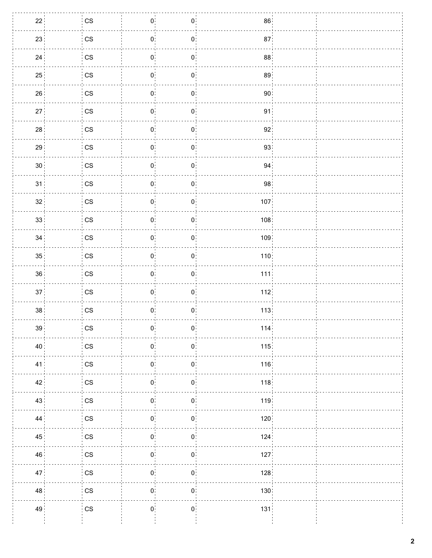| $\mathbf{0}^{\circ}$<br>22 <sup>1</sup><br>$\frac{1}{2}$ CS<br>$\mathbf{0}$<br>86 <sup>3</sup><br>$\mathbf{0}$<br>23 <sup>1</sup><br>CS<br>87 <sup>1</sup><br>$\mathbf{0}$<br>$\mathbf{0}^{\frac{1}{2}}$<br>$\overline{\text{cs}}$<br>88 <sup>1</sup><br>24<br>$\mathbf{0}$<br>$\mathbf{0}^{\cdot}$<br>89 <sup>1</sup><br>25 <sup>1</sup><br>$\mathsf{CS}\xspace$<br>$\mathbf{0}$<br>90 <sup>1</sup><br>26<br>$\mathsf{CS}\xspace$<br>$\mathbf{0}$ :<br>$\mathbf{0}$<br>$\mathbf{0}^{\mathbf{1}}$<br>91 <sup>1</sup><br>27 <sup>1</sup><br>$\mathsf{CS}\xspace$<br>$\mathbf{0}$<br>$\mathbf{0}$<br>28 <sup>1</sup><br>$\mathsf{CS}\xspace$<br>92 <sup>1</sup><br>$\mathbf{0}$<br>29 <sup>1</sup><br>$\mathsf{CS}\xspace$<br>93<br>$\mathbf{0}$<br>$\mathbf{0}$<br>$\mathbf{0}^{\circ}_1$<br>94<br>30 <sup>1</sup><br>$\mathsf{CS}\xspace$<br>$\mathbf{0}$<br>$\mathbf{0}$<br>98 <sup>1</sup><br>$\mathsf{CS}\xspace$<br>31<br>$\mathbf{0}$<br>32 <sup>1</sup><br>$\mathbf{0}^{\cdot}$<br>$\mathsf{CS}\xspace$<br>$\mathbf{0}$<br>107<br>33 <sup>1</sup><br>$\mathsf{CS}\xspace$<br>$\mathbf{0}$ :<br>108 <sup>1</sup><br>$\mathbf{0}$<br>$\mathbf{0}^{\mathbf{\cdot}}$<br>34<br>109<br>$\mathbb{C}\mathbb{S}$<br>$\mathbf{0}$<br>$\mathbf{0}^{\mathbb{I}}$<br>$\mathbb{C}\mathbb{S}$<br>35 <sup>1</sup><br>110<br>$\mathbf{0}$<br>36 <sup>3</sup><br>$\mathsf{CS}\xspace$<br>111<br>$\mathbf{0}$<br>$\mathbf{0}$<br>$\mathbf{0}^{\circ}_1$<br>37 <sup>1</sup><br>$\mathsf{CS}\xspace$<br>$\mathbf{0}$<br>112<br>$\mathbf{0}$<br>38 <sup>1</sup><br>$\mathsf{CS}\xspace$<br>$\mathbf{0}$<br>113<br>39 <sub>1</sub><br>CS<br>$\mathbf{0}$<br>$\mathbf{0}$<br>114.<br>40 <sup>1</sup><br>$\mathsf{CS}\xspace$<br>115.<br>$\mathbf{0}$ :<br>$\mathbf{0}$<br>41<br>$\mathsf{CS}\xspace$<br>$\mathbf{0}$<br>116<br>$\mathbf{0}$<br>42 <sup>1</sup><br>$\mathbb{C}\mathbb{S}$<br>$\mathbf{0}$<br>118 <sup>1</sup><br>$\mathbf{0}$<br>43 <sup>1</sup><br>$\mathsf{CS}\xspace$<br>$\mathbf{0}$<br>119<br>$\mathbf{0}$ :<br>$\mathbf{0}$<br>44 <sup>°</sup><br>$\mathsf{CS}\xspace$<br>$\mathbf{0}$<br>120<br>$\mathbf{0}^{\mathbb{I}}$<br>45 <sup>1</sup><br>$\mathbf{0}$<br>124<br>$\mathbb{C}\mathbb{S}$<br>$\mathbb{C}\mathbb{S}$<br>46<br>$\mathbf{0}$<br>127<br>$\mathbf{0}$<br>$\mathsf{CS}\xspace$<br>47<br>$\mathbf{0}$<br>128.<br>$\mathbf{0}$<br>48 <sup>1</sup><br>$\mathsf{CS}\xspace$<br>$\mathbf{0}$<br>$\mathbf{0}$ :<br>130<br>49<br>$\mathbb{C}\mathbb{S}$<br>$\mathbf{0}^{\circ}$<br>$\mathbf{0}$<br>131 |  |  |  |
|-------------------------------------------------------------------------------------------------------------------------------------------------------------------------------------------------------------------------------------------------------------------------------------------------------------------------------------------------------------------------------------------------------------------------------------------------------------------------------------------------------------------------------------------------------------------------------------------------------------------------------------------------------------------------------------------------------------------------------------------------------------------------------------------------------------------------------------------------------------------------------------------------------------------------------------------------------------------------------------------------------------------------------------------------------------------------------------------------------------------------------------------------------------------------------------------------------------------------------------------------------------------------------------------------------------------------------------------------------------------------------------------------------------------------------------------------------------------------------------------------------------------------------------------------------------------------------------------------------------------------------------------------------------------------------------------------------------------------------------------------------------------------------------------------------------------------------------------------------------------------------------------------------------------------------------------------------------------------------------------------------------------------------------------------------------------------------------------------------------------------------------------------------------------------------------------------------------------------------------------------------------------------------------------------------------------------------------------------------------------------------------------------------------------------------------------------------------------------------------------------------------------|--|--|--|
|                                                                                                                                                                                                                                                                                                                                                                                                                                                                                                                                                                                                                                                                                                                                                                                                                                                                                                                                                                                                                                                                                                                                                                                                                                                                                                                                                                                                                                                                                                                                                                                                                                                                                                                                                                                                                                                                                                                                                                                                                                                                                                                                                                                                                                                                                                                                                                                                                                                                                                                   |  |  |  |
|                                                                                                                                                                                                                                                                                                                                                                                                                                                                                                                                                                                                                                                                                                                                                                                                                                                                                                                                                                                                                                                                                                                                                                                                                                                                                                                                                                                                                                                                                                                                                                                                                                                                                                                                                                                                                                                                                                                                                                                                                                                                                                                                                                                                                                                                                                                                                                                                                                                                                                                   |  |  |  |
|                                                                                                                                                                                                                                                                                                                                                                                                                                                                                                                                                                                                                                                                                                                                                                                                                                                                                                                                                                                                                                                                                                                                                                                                                                                                                                                                                                                                                                                                                                                                                                                                                                                                                                                                                                                                                                                                                                                                                                                                                                                                                                                                                                                                                                                                                                                                                                                                                                                                                                                   |  |  |  |
|                                                                                                                                                                                                                                                                                                                                                                                                                                                                                                                                                                                                                                                                                                                                                                                                                                                                                                                                                                                                                                                                                                                                                                                                                                                                                                                                                                                                                                                                                                                                                                                                                                                                                                                                                                                                                                                                                                                                                                                                                                                                                                                                                                                                                                                                                                                                                                                                                                                                                                                   |  |  |  |
|                                                                                                                                                                                                                                                                                                                                                                                                                                                                                                                                                                                                                                                                                                                                                                                                                                                                                                                                                                                                                                                                                                                                                                                                                                                                                                                                                                                                                                                                                                                                                                                                                                                                                                                                                                                                                                                                                                                                                                                                                                                                                                                                                                                                                                                                                                                                                                                                                                                                                                                   |  |  |  |
|                                                                                                                                                                                                                                                                                                                                                                                                                                                                                                                                                                                                                                                                                                                                                                                                                                                                                                                                                                                                                                                                                                                                                                                                                                                                                                                                                                                                                                                                                                                                                                                                                                                                                                                                                                                                                                                                                                                                                                                                                                                                                                                                                                                                                                                                                                                                                                                                                                                                                                                   |  |  |  |
|                                                                                                                                                                                                                                                                                                                                                                                                                                                                                                                                                                                                                                                                                                                                                                                                                                                                                                                                                                                                                                                                                                                                                                                                                                                                                                                                                                                                                                                                                                                                                                                                                                                                                                                                                                                                                                                                                                                                                                                                                                                                                                                                                                                                                                                                                                                                                                                                                                                                                                                   |  |  |  |
|                                                                                                                                                                                                                                                                                                                                                                                                                                                                                                                                                                                                                                                                                                                                                                                                                                                                                                                                                                                                                                                                                                                                                                                                                                                                                                                                                                                                                                                                                                                                                                                                                                                                                                                                                                                                                                                                                                                                                                                                                                                                                                                                                                                                                                                                                                                                                                                                                                                                                                                   |  |  |  |
|                                                                                                                                                                                                                                                                                                                                                                                                                                                                                                                                                                                                                                                                                                                                                                                                                                                                                                                                                                                                                                                                                                                                                                                                                                                                                                                                                                                                                                                                                                                                                                                                                                                                                                                                                                                                                                                                                                                                                                                                                                                                                                                                                                                                                                                                                                                                                                                                                                                                                                                   |  |  |  |
|                                                                                                                                                                                                                                                                                                                                                                                                                                                                                                                                                                                                                                                                                                                                                                                                                                                                                                                                                                                                                                                                                                                                                                                                                                                                                                                                                                                                                                                                                                                                                                                                                                                                                                                                                                                                                                                                                                                                                                                                                                                                                                                                                                                                                                                                                                                                                                                                                                                                                                                   |  |  |  |
|                                                                                                                                                                                                                                                                                                                                                                                                                                                                                                                                                                                                                                                                                                                                                                                                                                                                                                                                                                                                                                                                                                                                                                                                                                                                                                                                                                                                                                                                                                                                                                                                                                                                                                                                                                                                                                                                                                                                                                                                                                                                                                                                                                                                                                                                                                                                                                                                                                                                                                                   |  |  |  |
|                                                                                                                                                                                                                                                                                                                                                                                                                                                                                                                                                                                                                                                                                                                                                                                                                                                                                                                                                                                                                                                                                                                                                                                                                                                                                                                                                                                                                                                                                                                                                                                                                                                                                                                                                                                                                                                                                                                                                                                                                                                                                                                                                                                                                                                                                                                                                                                                                                                                                                                   |  |  |  |
|                                                                                                                                                                                                                                                                                                                                                                                                                                                                                                                                                                                                                                                                                                                                                                                                                                                                                                                                                                                                                                                                                                                                                                                                                                                                                                                                                                                                                                                                                                                                                                                                                                                                                                                                                                                                                                                                                                                                                                                                                                                                                                                                                                                                                                                                                                                                                                                                                                                                                                                   |  |  |  |
|                                                                                                                                                                                                                                                                                                                                                                                                                                                                                                                                                                                                                                                                                                                                                                                                                                                                                                                                                                                                                                                                                                                                                                                                                                                                                                                                                                                                                                                                                                                                                                                                                                                                                                                                                                                                                                                                                                                                                                                                                                                                                                                                                                                                                                                                                                                                                                                                                                                                                                                   |  |  |  |
|                                                                                                                                                                                                                                                                                                                                                                                                                                                                                                                                                                                                                                                                                                                                                                                                                                                                                                                                                                                                                                                                                                                                                                                                                                                                                                                                                                                                                                                                                                                                                                                                                                                                                                                                                                                                                                                                                                                                                                                                                                                                                                                                                                                                                                                                                                                                                                                                                                                                                                                   |  |  |  |
|                                                                                                                                                                                                                                                                                                                                                                                                                                                                                                                                                                                                                                                                                                                                                                                                                                                                                                                                                                                                                                                                                                                                                                                                                                                                                                                                                                                                                                                                                                                                                                                                                                                                                                                                                                                                                                                                                                                                                                                                                                                                                                                                                                                                                                                                                                                                                                                                                                                                                                                   |  |  |  |
|                                                                                                                                                                                                                                                                                                                                                                                                                                                                                                                                                                                                                                                                                                                                                                                                                                                                                                                                                                                                                                                                                                                                                                                                                                                                                                                                                                                                                                                                                                                                                                                                                                                                                                                                                                                                                                                                                                                                                                                                                                                                                                                                                                                                                                                                                                                                                                                                                                                                                                                   |  |  |  |
|                                                                                                                                                                                                                                                                                                                                                                                                                                                                                                                                                                                                                                                                                                                                                                                                                                                                                                                                                                                                                                                                                                                                                                                                                                                                                                                                                                                                                                                                                                                                                                                                                                                                                                                                                                                                                                                                                                                                                                                                                                                                                                                                                                                                                                                                                                                                                                                                                                                                                                                   |  |  |  |
|                                                                                                                                                                                                                                                                                                                                                                                                                                                                                                                                                                                                                                                                                                                                                                                                                                                                                                                                                                                                                                                                                                                                                                                                                                                                                                                                                                                                                                                                                                                                                                                                                                                                                                                                                                                                                                                                                                                                                                                                                                                                                                                                                                                                                                                                                                                                                                                                                                                                                                                   |  |  |  |
|                                                                                                                                                                                                                                                                                                                                                                                                                                                                                                                                                                                                                                                                                                                                                                                                                                                                                                                                                                                                                                                                                                                                                                                                                                                                                                                                                                                                                                                                                                                                                                                                                                                                                                                                                                                                                                                                                                                                                                                                                                                                                                                                                                                                                                                                                                                                                                                                                                                                                                                   |  |  |  |
|                                                                                                                                                                                                                                                                                                                                                                                                                                                                                                                                                                                                                                                                                                                                                                                                                                                                                                                                                                                                                                                                                                                                                                                                                                                                                                                                                                                                                                                                                                                                                                                                                                                                                                                                                                                                                                                                                                                                                                                                                                                                                                                                                                                                                                                                                                                                                                                                                                                                                                                   |  |  |  |
|                                                                                                                                                                                                                                                                                                                                                                                                                                                                                                                                                                                                                                                                                                                                                                                                                                                                                                                                                                                                                                                                                                                                                                                                                                                                                                                                                                                                                                                                                                                                                                                                                                                                                                                                                                                                                                                                                                                                                                                                                                                                                                                                                                                                                                                                                                                                                                                                                                                                                                                   |  |  |  |
|                                                                                                                                                                                                                                                                                                                                                                                                                                                                                                                                                                                                                                                                                                                                                                                                                                                                                                                                                                                                                                                                                                                                                                                                                                                                                                                                                                                                                                                                                                                                                                                                                                                                                                                                                                                                                                                                                                                                                                                                                                                                                                                                                                                                                                                                                                                                                                                                                                                                                                                   |  |  |  |
|                                                                                                                                                                                                                                                                                                                                                                                                                                                                                                                                                                                                                                                                                                                                                                                                                                                                                                                                                                                                                                                                                                                                                                                                                                                                                                                                                                                                                                                                                                                                                                                                                                                                                                                                                                                                                                                                                                                                                                                                                                                                                                                                                                                                                                                                                                                                                                                                                                                                                                                   |  |  |  |
|                                                                                                                                                                                                                                                                                                                                                                                                                                                                                                                                                                                                                                                                                                                                                                                                                                                                                                                                                                                                                                                                                                                                                                                                                                                                                                                                                                                                                                                                                                                                                                                                                                                                                                                                                                                                                                                                                                                                                                                                                                                                                                                                                                                                                                                                                                                                                                                                                                                                                                                   |  |  |  |
|                                                                                                                                                                                                                                                                                                                                                                                                                                                                                                                                                                                                                                                                                                                                                                                                                                                                                                                                                                                                                                                                                                                                                                                                                                                                                                                                                                                                                                                                                                                                                                                                                                                                                                                                                                                                                                                                                                                                                                                                                                                                                                                                                                                                                                                                                                                                                                                                                                                                                                                   |  |  |  |
|                                                                                                                                                                                                                                                                                                                                                                                                                                                                                                                                                                                                                                                                                                                                                                                                                                                                                                                                                                                                                                                                                                                                                                                                                                                                                                                                                                                                                                                                                                                                                                                                                                                                                                                                                                                                                                                                                                                                                                                                                                                                                                                                                                                                                                                                                                                                                                                                                                                                                                                   |  |  |  |
|                                                                                                                                                                                                                                                                                                                                                                                                                                                                                                                                                                                                                                                                                                                                                                                                                                                                                                                                                                                                                                                                                                                                                                                                                                                                                                                                                                                                                                                                                                                                                                                                                                                                                                                                                                                                                                                                                                                                                                                                                                                                                                                                                                                                                                                                                                                                                                                                                                                                                                                   |  |  |  |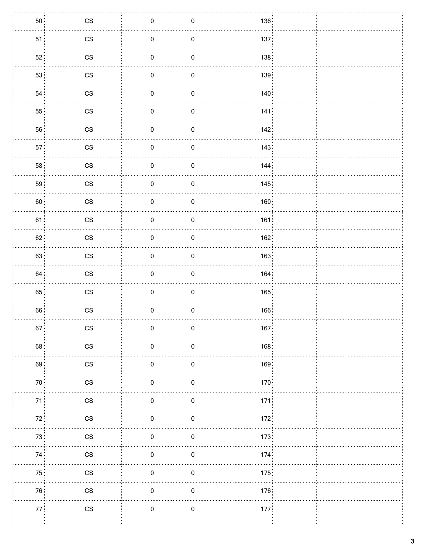| 50              | $\cos$                 | $\mathbf{0}^{\circ}_1$        | $\mathbf{0}$     | 136              |  |
|-----------------|------------------------|-------------------------------|------------------|------------------|--|
| 51              | $\mathsf{CS}\xspace$   | $\mathbf{0}^{\mathbb{I}}$     | $\mathbf{0}$     | 137.             |  |
| 52 <sup>1</sup> | $\mathbb{C}\mathbb{S}$ | $\mathbf{0}^{\mathbf{\cdot}}$ | $\mathbf{0}$     | 138              |  |
| 53 <sup>1</sup> | $\mathbb{C}\mathbb{S}$ | $\mathbf{0}^{\cdot}_{\cdot}$  | $\mathbf{0}$     | 139 <sub>1</sub> |  |
| 54              | $\mathbb{C}\mathbb{S}$ | $\mathbf{0}$                  | $\mathbf{0}$     | 140              |  |
| 55 <sup>1</sup> | $\mathbb{C}\mathbb{S}$ | $\mathbf{0}^{\circ}$          | $\mathbf{0}$     | 141              |  |
| 56              | $\mathbb{C}\mathbb{S}$ | $\mathbf{0}$                  | $\mathbf{0}$     | 142              |  |
| 57 <sup>3</sup> | $\mathsf{CS}\xspace$   | $\mathbf{0}^{\circ}_{\cdot}$  | $\mathbf{0}$     | 143              |  |
| 58 <sup>1</sup> | $\mathsf{CS}\xspace$   | $\mathbf{0}^{\cdot}$          | $\mathbf{0}$     | 144              |  |
| 59 <sup>1</sup> | $\mathbb{C}\mathbb{S}$ | $\mathbf{0}$                  | $\mathbf{0}$     | 145              |  |
| 60 <sup>1</sup> | $\mathbb{C}\mathbb{S}$ | $\mathbf{0}^{\circ}$          | $\mathbf{0}$     | 160              |  |
| 61              | $\mathbb{C}\mathbb{S}$ | $\mathbf{0}$                  | $\overline{0}$ : | 161:             |  |
| 62              | $\mathsf{CS}\xspace$   | $\mathbf{0}$                  | $\mathbf{0}$     | 162              |  |
| 63              | $\mathbb{C}\mathbb{S}$ | $\mathbf{0}$                  | $\mathbf{0}$     | 163.             |  |
| 64              | $\mathbb{C}\mathbb{S}$ | $\mathbf{0}$                  | $\mathbf{0}$     | 164              |  |
| 65 <sup>1</sup> | $\mathsf{CS}\xspace$   | $\mathbf{0}^{\cdot}_{\cdot}$  | $\mathbf{0}$     | 165              |  |
| 66              | $\mathbb{C}\mathbb{S}$ | $\mathbf{0}$                  | $\mathbf{0}$     | 166              |  |
| 67 <sup>1</sup> | $\mathbb{C}\mathbb{S}$ | $\mathbf{0}^{\frac{1}{2}}$    | 0                | 167              |  |
| 68              | $\mathbb{C}\mathbb{S}$ | $\mathbf{0}$                  | $\mathbf{0}$     | 168.             |  |
| 69              | $\mathbb{C}\mathbb{S}$ | $\mathbf{0}$                  | $0$ :            | 169              |  |
| 70 <sub>1</sub> | $\mathbb{C}\mathbb{S}$ | $\mathbf{0}$                  | $\mathbf{0}$     | 170 <sub>1</sub> |  |
| 71              | $\mathbb{C}\mathbb{S}$ | 0                             | $\mathbf{0}$     | 171              |  |
| 72              | $\mathbb{C}\mathbb{S}$ | $\mathbf{0}$                  | $\mathbf{0}$     | 172              |  |
| 73.             | $\mathbb{C}\mathbb{S}$ | 0 <sup>1</sup>                | $\mathbf{0}$     | 173.             |  |
| 74              | $\mathbb{C}\mathbb{S}$ | $\mathbf{0}$                  | $\mathbf{0}$     | 174              |  |
| 75              | $\mathbb{C}\mathbb{S}$ | $\mathbf{0}$                  | $\mathbf{0}$     | 175              |  |
| 76 <sup>1</sup> | $\mathbb{C}\mathbb{S}$ | $\mathbf{0}$                  | 0:               | 176              |  |
| 77 <sub>1</sub> | $\mathbb{C}\mathbb{S}$ | $\mathbf{0}$                  | $\mathbf{0}$     | 177 <sub>1</sub> |  |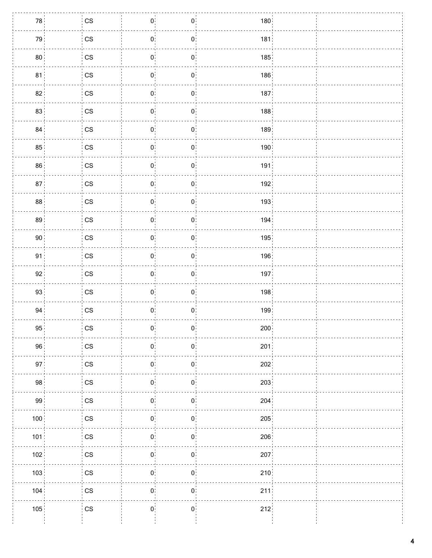| 78 <sup>1</sup> | $\frac{1}{2}$ CS       | $\mathbf{0}$                 | $\mathbf{0}^+$             | 180              |  |
|-----------------|------------------------|------------------------------|----------------------------|------------------|--|
| 79 <sup>1</sup> | $\mathsf{CS}\xspace$   | 0 <sup>1</sup>               | $\mathbf{0}$ :             | 181              |  |
| 80 <sub>1</sub> | $\mathsf{CS}\xspace$   | $\overline{0}$               | $\mathbf{0}$               | 185              |  |
| 81              | $\mathsf{CS}\xspace$   | $\mathbf{0}$ :               | $\mathbf{0}$ :             | 186              |  |
| 82:             | $\mathsf{CS}\xspace$   | $0$ :                        | $\mathbf{0}$               | 187.             |  |
| 83 <sup>3</sup> | $\mathsf{CS}\xspace$   | $\mathbf{0}$                 | $\mathbf{0}$               | 188              |  |
| 84 <sup>1</sup> | $\mathsf{CS}\xspace$   | 0 <sup>1</sup>               | $\mathbf{0}$               | 189 <sup>1</sup> |  |
| 85 <sup>3</sup> | $\mathsf{CS}\xspace$   | $\mathbf{0}$                 | $\mathbf{0}^{\pm}_{\pm}$   | 190              |  |
| 86 <sup>1</sup> | $\mathsf{CS}\xspace$   | 0 <sup>1</sup>               | $\mathbf{0}$               | 191              |  |
| 87 <sup>1</sup> | $\mathsf{CS}\xspace$   | 0 <sup>1</sup>               | $\mathbf{0}^{\frac{1}{2}}$ | 192              |  |
| 88 <sup>1</sup> | $\mathbb{C}\mathbb{S}$ | $\mathbf{0}$                 | $\mathbf{0}^{\circ}$       | 193              |  |
| 89 <sup>1</sup> | $\mathsf{CS}\xspace$   | $\mathbf{0}$ :               | $\mathbf{0}$               | 194.             |  |
| 90 <sup>1</sup> | $\mathsf{CS}\xspace$   | $\mathbf{0}$                 | $\mathbf{0}$               | 195              |  |
| 91 <sup>1</sup> | $\mathsf{CS}\xspace$   | $\mathbf{0}$ :               | $\mathbf{0}$               | 196              |  |
| 92              | $\mathsf{CS}\xspace$   | $\mathbf{0}$                 | $\mathbf{0}$               | 197              |  |
| 93 <sup>1</sup> | $\mathsf{CS}\xspace$   | $\mathbf{0}^{\circ}_{\cdot}$ | $\mathbf{0}$               | 198              |  |
| 94              | $\mathsf{CS}\xspace$   | 0 <sup>1</sup>               | $\mathbf{0}$ :             | 199              |  |
| 95 <sup>1</sup> | CS                     | $\mathbf{0}^{\frac{1}{2}}$   | $\mathbf{0}$               | 200              |  |
| 96              | $\mathsf{CS}\xspace$   | $\mathbf{0}$ :               | $\mathbf{0}$ :             | 201              |  |
| 97 <sup>3</sup> | $\mathsf{CS}\xspace$   | $\mathbf{0}$                 | $\mathbf{0}$               | 202              |  |
| 98 <sup>1</sup> | $\mathbb{C}\mathbb{S}$ | $\mathbf{0}$                 | $\mathbf{0}$ :             | 203              |  |
| 99 <sub>1</sub> | $\mathbb{C}\mathbb{S}$ | $\mathbf{0}$                 | $\mathbf{0}$               | 204              |  |
| 100             | $\mathsf{CS}\xspace$   | $\mathbf{0}$                 | $\mathbf{0}$               | 205              |  |
| 101             | $\mathsf{CS}\xspace$   | 0 <sup>1</sup>               | $\mathbf{0}$               | 206              |  |
| 102             | $\mathbb{C}\mathbb{S}$ | $\mathbf{0}$                 | $\mathbf{0}$ :             | 207              |  |
| 103             | $\mathbb{C}\mathbb{S}$ | $\mathbf{0}$                 | $\mathbf{0}$               | 210              |  |
| 104             | $\mathsf{CS}\xspace$   | $\mathbf{0}$                 | $\mathbf{0}$ :             | 211:             |  |
| 105             | $\mathsf{CS}\xspace$   | $\mathbf{0}^{\circ}$         | $\mathbf{0}^{\circ}$       | 212              |  |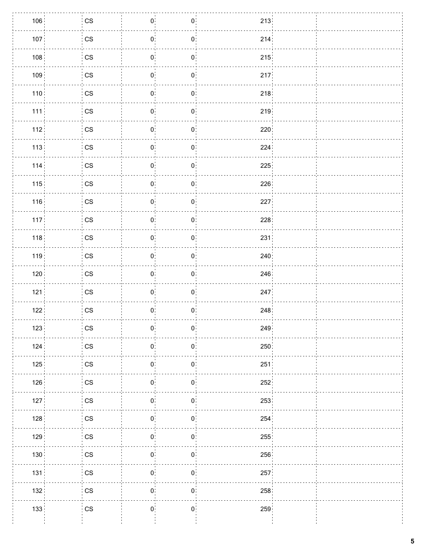| 106              | $\mathsf{CS}\xspace$   | $\mathbf{0}$   | $\mathbf{0}$   | 213  |  |
|------------------|------------------------|----------------|----------------|------|--|
| 107 <sub>1</sub> | $\mathsf{CS}\xspace$   | 0 <sup>1</sup> | $0$ :          | 214  |  |
| 108              | $\mathsf{CS}\xspace$   | 0 <sup>1</sup> | $\mathbf{0}$   | 215  |  |
| 109              | $\mathbb{C}\mathbb{S}$ | $\mathbf{0}$   | $\mathbf{0}$   | 217  |  |
| 110:             | $\mathbb{C}\mathbb{S}$ | 0 <sup>1</sup> | $\mathbf{0}$ : | 218. |  |
| 111              | $\mathsf{CS}\xspace$   | $\mathbf{0}$   | $\mathbf{0}$   | 219  |  |
| 112:             | $\mathsf{CS}\xspace$   | $\mathbf{0}$   | $\mathbf{0}$   | 220  |  |
| 113              | $\mathbb{C}\mathbb{S}$ | $0^{\circ}$    | $\mathbf{0}$   | 224  |  |
| 114              | $\mathsf{CS}\xspace$   | $\mathbf{0}$ : | $\mathbf{0}$   | 225  |  |
| 115              | $\mathbb{C}\mathbb{S}$ | 0 <sup>1</sup> | $\mathbf{0}$ : | 226  |  |
| 116              | $\mathbb{C}\mathbb{S}$ | $\mathbf{0}$   | $\mathbf{0}$   | 227  |  |
| 117:             | $\mathbb{C}\mathbb{S}$ | $\mathbf{0}$   | $\mathbf{0}$ : | 228  |  |
| 118              | $\mathbb{C}\mathbb{S}$ | $\mathbf{0}$   | $\mathbf{0}$   | 231  |  |
| 119:             | $\mathbb{C}\mathbb{S}$ | $\mathbf{0}$   | $\mathbf{0}$   | 240: |  |
| 120              | $\mathbb{C}\mathbb{S}$ | $\mathbf{0}$   | $\mathbf{0}$   | 246  |  |
| 121              | $\mathbb{C}\mathbb{S}$ | $\mathbf{0}$   | $\mathbf{0}$   | 247  |  |
| 122              | $\mathbb{C}\mathbb{S}$ | $0$ :          | $\mathbf{0}$ : | 248  |  |
| 123              | $\cos$                 | $\overline{0}$ | $\mathbf{0}$   | 249  |  |
| 124              | $\mathbb{C}\mathbb{S}$ | $\mathbf{0}$ : | $\mathbf{0}$ : | 250  |  |
| 125              | $\mathbb{C}\mathbb{S}$ | $\mathbf{0}$   | $\mathbf{0}$   | 251  |  |
| 126              | $\mathbb{C}\mathbb{S}$ | $\mathbf{0}$   | $\mathbf{0}$   | 252  |  |
| 127              | $\mathbb{C}\mathbb{S}$ | $0$ :          | $\mathbf{0}$ : | 253  |  |
| 128              | $\mathbb{C}\mathbb{S}$ | $\mathbf{0}$   | $\mathbf{0}$   | 254  |  |
| 129:             | $\mathbb{C}\mathbb{S}$ | 0 <sup>1</sup> | $\mathbf{0}$   | 255: |  |
| 130              | $\mathbb{C}\mathbb{S}$ | $\mathbf{0}$   | $\mathbf{0}$   | 256  |  |
| 131.             | $\mathbb{C}\mathbb{S}$ | $\mathbf{0}$   | $\mathbf{0}$   | 257  |  |
| 132:             | $\mathbb{C}\mathbb{S}$ | $\mathbf{0}$   | $\mathbf{0}$ : | 258  |  |
| 133              | $\mathbb{C}\mathbb{S}$ | $\mathbf{0}$   | $\mathbf{0}$   | 259  |  |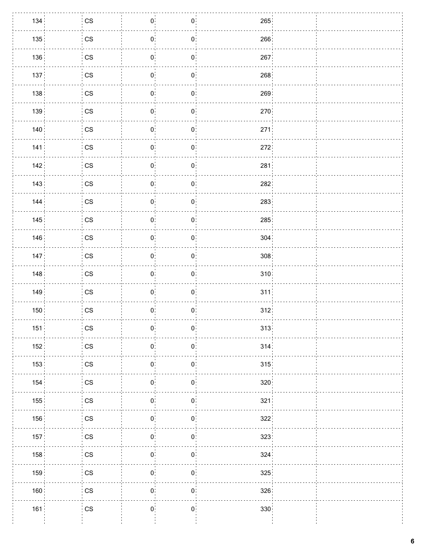| 134              | $\overline{\phantom{a}}$ CS | $\mathbf{0}$                  | $\mathbf{0}$   | 265  |  |
|------------------|-----------------------------|-------------------------------|----------------|------|--|
| 135:             | $\mathsf{CS}\xspace$        | $\mathbf{0}$ :                | $0$ :          | 266  |  |
| 136              | $\mathsf{CS}\xspace$        | 0 <sup>1</sup>                | $\mathbf{0}$ : | 267  |  |
| 137 <sub>1</sub> | $\mathbb{C}\mathbb{S}$      | $\mathbf{0}$                  | $\mathbf{0}$   | 268  |  |
| 138:             | $\mathbb{C}\mathbb{S}$      | $\mathbf{0}$                  | $\mathbf{0}$ : | 269  |  |
| 139 <sup>1</sup> | $\mathsf{CS}\xspace$        | $\mathbf{0}^{\circ}$          | $\mathbf{0}$   | 270  |  |
| 140              | $\mathsf{CS}\xspace$        | $\mathbf{0}$                  | $\mathbf{0}$   | 271. |  |
| 141              | $\mathbb{C}\mathbb{S}$      | $\mathbf{0}$                  | $\mathbf{0}$   | 272  |  |
| 142              | $\mathsf{CS}\xspace$        | $\mathbf{0}$ :                | $\mathbf{0}$   | 281  |  |
| 143              | $\mathsf{CS}\xspace$        | 0 <sup>1</sup>                | $\mathbf{0}$ : | 282  |  |
| 144.             | $\mathbb{C}\mathbb{S}$      | $\mathbf{0}$                  | $\mathbf{0}$   | 283  |  |
| 145              | $\mathbb{C}\mathbb{S}$      | $\mathbf{0}$                  | $\mathbf{0}$   | 285  |  |
| 146              | $\mathbb{C}\mathbb{S}$      | $\mathbf{0}$                  | $\mathbf{0}$   | 304  |  |
| 147.             | $\mathbb{C}\mathbb{S}$      | $\mathbf{0}$                  | $\mathbf{0}$   | 308  |  |
| 148              | $\mathbb{C}\mathbb{S}$      | $\mathbf{0}$                  | $\mathbf{0}$   | 310  |  |
| 149              | $\mathsf{CS}\xspace$        | $\mathbf{0}$                  | $\mathbf{0}$   | 311  |  |
| 150              | $\mathsf{CS}\xspace$        | 0 <sup>1</sup>                | $\mathbf{0}$ : | 312. |  |
| 151              | $\mathsf{CS}\phantom{0}$    | $\overline{0}$                | $\overline{0}$ | 313  |  |
| 152:             | $\mathbb{C}\mathbb{S}$      | $\mathbf{0}$ :                | $\mathbf{0}$   | 314. |  |
| 153              | $\mathsf{CS}\xspace$        | $\mathbf{0}$                  | $\mathbf{0}$   | 315  |  |
| 154              | $\mathbb{C}\mathbb{S}$      | $\mathbf{0}$                  | $\mathbf{0}$   | 320  |  |
| 155              | $\mathbb{C}\mathbb{S}$      | $\mathbf{0}$                  | $\mathbf{0}$   | 321  |  |
| 156              | $\mathbb{C}\mathbb{S}$      | $\mathbf{0}$                  | $\mathbf{0}$   | 322  |  |
| 157:             | $\mathbb{C}\mathbb{S}$      | $\mathbf{0}$                  | $\mathbf{0}$   | 323: |  |
| 158              | $\mathbb{C}\mathbb{S}$      | $\mathbf{0}^{\mathbf{\cdot}}$ | $\mathbf{0}$   | 324  |  |
| 159              | $\mathbb{C}\mathbb{S}$      | $\mathbf{0}$                  | $\mathbf{0}$   | 325  |  |
| 160              | $\mathbb{C}\mathbb{S}$      | $\mathbf{0}$                  | $\mathbf{0}$   | 326  |  |
| 161              | $\mathbb{C}\mathbb{S}$      | $\mathbf{0}^{\circ}$          | $\mathbf{0}^+$ | 330  |  |